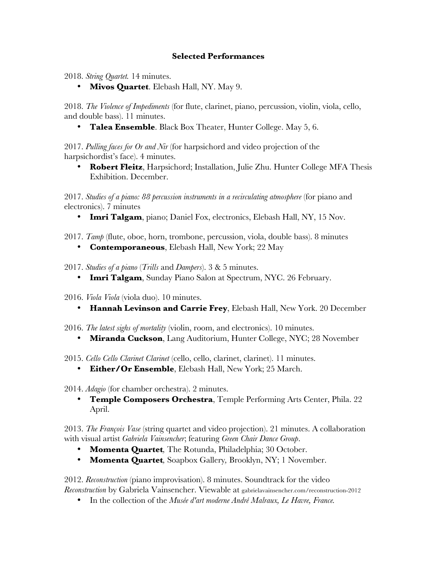## **Selected Performances**

2018. *String Quartet.* 14 minutes.

• **Mivos Quartet**. Elebash Hall, NY. May 9.

2018. *The Violence of Impediments* (for flute, clarinet, piano, percussion, violin, viola, cello, and double bass). 11 minutes.

• **Talea Ensemble**. Black Box Theater, Hunter College. May 5, 6.

2017. *Pulling faces for Or and Nir* (for harpsichord and video projection of the harpsichordist's face). 4 minutes.

• **Robert Fleitz**, Harpsichord; Installation, Julie Zhu. Hunter College MFA Thesis Exhibition. December.

2017. *Studies of a piano: 88 percussion instruments in a recirculating atmosphere* (for piano and electronics). 7 minutes

- **Imri Talgam**, piano; Daniel Fox, electronics, Elebash Hall, NY, 15 Nov.
- 2017. *Tamp* (flute, oboe, horn, trombone, percussion, viola, double bass). 8 minutes
	- **Contemporaneous**, Elebash Hall, New York; 22 May

2017. *Studies of a piano* (*Trills* and *Dampers*). 3 & 5 minutes.

• **Imri Talgam**, Sunday Piano Salon at Spectrum, NYC. 26 February.

2016. *Viola Viola* (viola duo). 10 minutes.

- **Hannah Levinson and Carrie Frey**, Elebash Hall, New York. 20 December
- 2016. *The latest sighs of mortality* (violin, room, and electronics). 10 minutes.
	- **Miranda Cuckson**, Lang Auditorium, Hunter College, NYC; 28 November

2015. *Cello Cello Clarinet Clarinet* (cello, cello, clarinet, clarinet). 11 minutes.

• **Either/Or Ensemble**, Elebash Hall, New York; 25 March.

2014. *Adagio* (for chamber orchestra). 2 minutes.

• **Temple Composers Orchestra**, Temple Performing Arts Center, Phila. 22 April.

2013. *The François Vase* (string quartet and video projection). 21 minutes. A collaboration with visual artist *Gabriela Vainsencher*; featuring *Green Chair Dance Group*.

- **Momenta Quartet***,* The Rotunda, Philadelphia; 30 October.
- **Momenta Quartet***,* Soapbox Gallery*,* Brooklyn, NY; 1 November.

2012. *Reconstruction* (piano improvisation). 8 minutes. Soundtrack for the video *Reconstruction* by Gabriela Vainsencher. Viewable at gabrielavainsencher.com/reconstruction-2012

• In the collection of the *Musée d'art moderne André Malraux, Le Havre, France.*